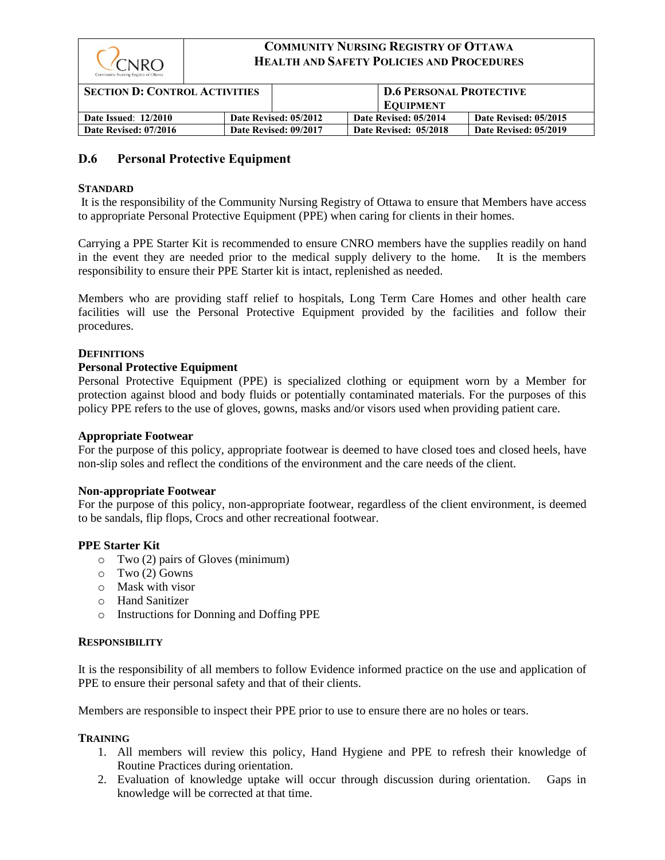

| <b>SECTION D: CONTROL ACTIVITIES</b> |                       | D.6 PERSONAL PROTECTIVE |  |                       |                       |
|--------------------------------------|-----------------------|-------------------------|--|-----------------------|-----------------------|
|                                      |                       |                         |  | <b>EQUIPMENT</b>      |                       |
| <b>Date Issued: 12/2010</b>          | Date Revised: 05/2012 |                         |  | Date Revised: 05/2014 | Date Revised: 05/2015 |
| Date Revised: 07/2016                | Date Revised: 09/2017 |                         |  | Date Revised: 05/2018 | Date Revised: 05/2019 |

## **D.6 Personal Protective Equipment**

#### **STANDARD**

It is the responsibility of the Community Nursing Registry of Ottawa to ensure that Members have access to appropriate Personal Protective Equipment (PPE) when caring for clients in their homes.

Carrying a PPE Starter Kit is recommended to ensure CNRO members have the supplies readily on hand in the event they are needed prior to the medical supply delivery to the home. It is the members responsibility to ensure their PPE Starter kit is intact, replenished as needed.

Members who are providing staff relief to hospitals, Long Term Care Homes and other health care facilities will use the Personal Protective Equipment provided by the facilities and follow their procedures.

#### **DEFINITIONS**

#### **Personal Protective Equipment**

Personal Protective Equipment (PPE) is specialized clothing or equipment worn by a Member for protection against blood and body fluids or potentially contaminated materials. For the purposes of this policy PPE refers to the use of gloves, gowns, masks and/or visors used when providing patient care.

#### **Appropriate Footwear**

For the purpose of this policy, appropriate footwear is deemed to have closed toes and closed heels, have non-slip soles and reflect the conditions of the environment and the care needs of the client.

#### **Non-appropriate Footwear**

For the purpose of this policy, non-appropriate footwear, regardless of the client environment, is deemed to be sandals, flip flops, Crocs and other recreational footwear.

#### **PPE Starter Kit**

- o Two (2) pairs of Gloves (minimum)
- o Two (2) Gowns
- o Mask with visor
- o Hand Sanitizer
- o Instructions for Donning and Doffing PPE

#### **RESPONSIBILITY**

It is the responsibility of all members to follow Evidence informed practice on the use and application of PPE to ensure their personal safety and that of their clients.

Members are responsible to inspect their PPE prior to use to ensure there are no holes or tears.

#### **TRAINING**

- 1. All members will review this policy, Hand Hygiene and PPE to refresh their knowledge of Routine Practices during orientation.
- 2. Evaluation of knowledge uptake will occur through discussion during orientation. Gaps in knowledge will be corrected at that time.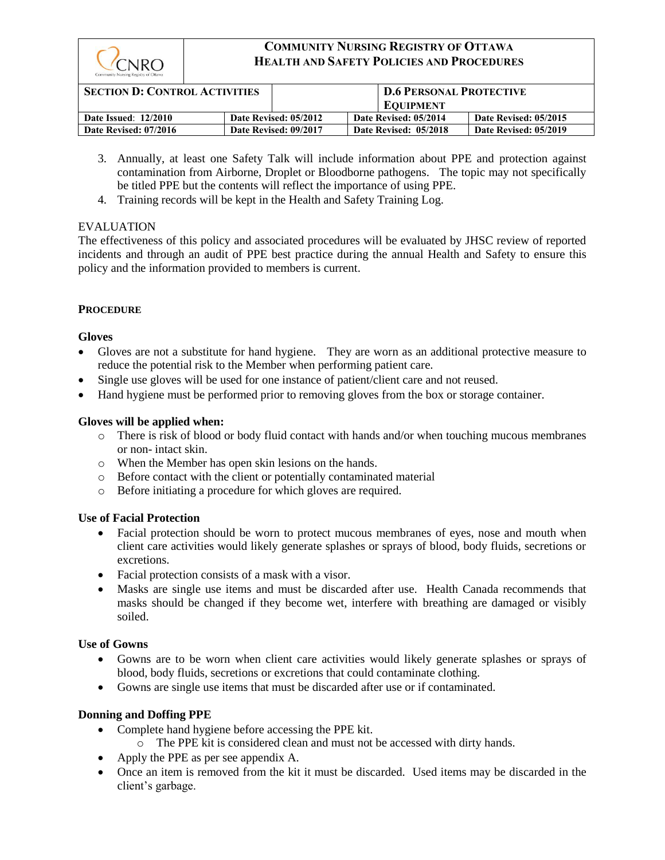

| <b>SECTION D: CONTROL ACTIVITIES</b> |                       | <b>D.6 PERSONAL PROTECTIVE</b> |                       |  |
|--------------------------------------|-----------------------|--------------------------------|-----------------------|--|
|                                      |                       | <b>EQUIPMENT</b>               |                       |  |
| <b>Date Issued: 12/2010</b>          | Date Revised: 05/2012 | Date Revised: 05/2014          | Date Revised: 05/2015 |  |
| Date Revised: 07/2016                | Date Revised: 09/2017 | Date Revised: 05/2018          | Date Revised: 05/2019 |  |

- 3. Annually, at least one Safety Talk will include information about PPE and protection against contamination from Airborne, Droplet or Bloodborne pathogens. The topic may not specifically be titled PPE but the contents will reflect the importance of using PPE.
- 4. Training records will be kept in the Health and Safety Training Log.

## EVALUATION

The effectiveness of this policy and associated procedures will be evaluated by JHSC review of reported incidents and through an audit of PPE best practice during the annual Health and Safety to ensure this policy and the information provided to members is current.

## **PROCEDURE**

### **Gloves**

- Gloves are not a substitute for hand hygiene. They are worn as an additional protective measure to reduce the potential risk to the Member when performing patient care.
- Single use gloves will be used for one instance of patient/client care and not reused.
- Hand hygiene must be performed prior to removing gloves from the box or storage container.

### **Gloves will be applied when:**

- o There is risk of blood or body fluid contact with hands and/or when touching mucous membranes or non- intact skin.
- o When the Member has open skin lesions on the hands.
- o Before contact with the client or potentially contaminated material
- o Before initiating a procedure for which gloves are required.

## **Use of Facial Protection**

- Facial protection should be worn to protect mucous membranes of eyes, nose and mouth when client care activities would likely generate splashes or sprays of blood, body fluids, secretions or excretions.
- Facial protection consists of a mask with a visor.
- Masks are single use items and must be discarded after use. Health Canada recommends that masks should be changed if they become wet, interfere with breathing are damaged or visibly soiled.

### **Use of Gowns**

- Gowns are to be worn when client care activities would likely generate splashes or sprays of blood, body fluids, secretions or excretions that could contaminate clothing.
- Gowns are single use items that must be discarded after use or if contaminated.

### **Donning and Doffing PPE**

- Complete hand hygiene before accessing the PPE kit.
	- o The PPE kit is considered clean and must not be accessed with dirty hands.
- Apply the PPE as per see appendix A.
- Once an item is removed from the kit it must be discarded. Used items may be discarded in the client's garbage.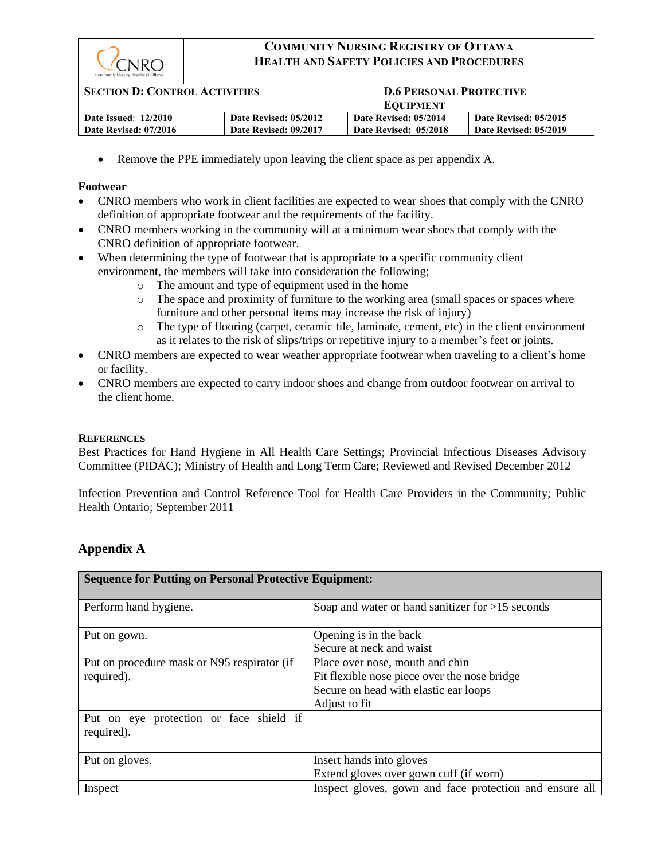

| <b>SECTION D: CONTROL ACTIVITIES</b> |                       | D.6 PERSONAL PROTECTIVE |                       |
|--------------------------------------|-----------------------|-------------------------|-----------------------|
|                                      |                       | <b>EQUIPMENT</b>        |                       |
| <b>Date Issued: 12/2010</b>          | Date Revised: 05/2012 | Date Revised: 05/2014   | Date Revised: 05/2015 |
| Date Revised: 07/2016                | Date Revised: 09/2017 | Date Revised: 05/2018   | Date Revised: 05/2019 |

• Remove the PPE immediately upon leaving the client space as per appendix A.

#### **Footwear**

- CNRO members who work in client facilities are expected to wear shoes that comply with the CNRO definition of appropriate footwear and the requirements of the facility.
- CNRO members working in the community will at a minimum wear shoes that comply with the CNRO definition of appropriate footwear.
- When determining the type of footwear that is appropriate to a specific community client environment, the members will take into consideration the following;
	- o The amount and type of equipment used in the home
	- o The space and proximity of furniture to the working area (small spaces or spaces where furniture and other personal items may increase the risk of injury)
	- o The type of flooring (carpet, ceramic tile, laminate, cement, etc) in the client environment as it relates to the risk of slips/trips or repetitive injury to a member's feet or joints.
- CNRO members are expected to wear weather appropriate footwear when traveling to a client's home or facility.
- CNRO members are expected to carry indoor shoes and change from outdoor footwear on arrival to the client home.

#### **REFERENCES**

Best Practices for Hand Hygiene in All Health Care Settings; Provincial Infectious Diseases Advisory Committee (PIDAC); Ministry of Health and Long Term Care; Reviewed and Revised December 2012

Infection Prevention and Control Reference Tool for Health Care Providers in the Community; Public Health Ontario; September 2011

## **Appendix A**

| <b>Sequence for Putting on Personal Protective Equipment:</b> |                                                                                                                                           |  |
|---------------------------------------------------------------|-------------------------------------------------------------------------------------------------------------------------------------------|--|
| Perform hand hygiene.                                         | Soap and water or hand sanitizer for $>15$ seconds                                                                                        |  |
| Put on gown.                                                  | Opening is in the back<br>Secure at neck and waist                                                                                        |  |
| Put on procedure mask or N95 respirator (if<br>required).     | Place over nose, mouth and chin<br>Fit flexible nose piece over the nose bridge<br>Secure on head with elastic ear loops<br>Adjust to fit |  |
| Put on eye protection or face shield if<br>required).         |                                                                                                                                           |  |
| Put on gloves.                                                | Insert hands into gloves<br>Extend gloves over gown cuff (if worn)                                                                        |  |
| Inspect                                                       | Inspect gloves, gown and face protection and ensure all                                                                                   |  |